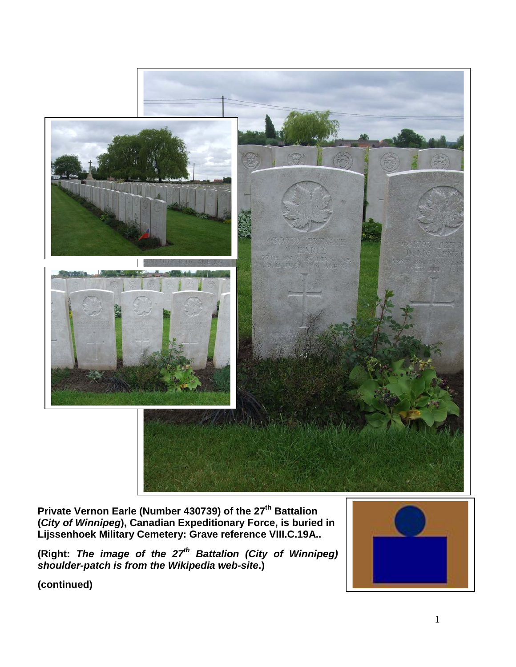

**Private Vernon Earle (Number 430739) of the 27th Battalion (***City of Winnipeg***), Canadian Expeditionary Force, is buried in Lijssenhoek Military Cemetery: Grave reference VIII.C.19A..**

**(Right:** *The image of the 27th Battalion (City of Winnipeg) shoulder-patch is from the Wikipedia web-site***.)**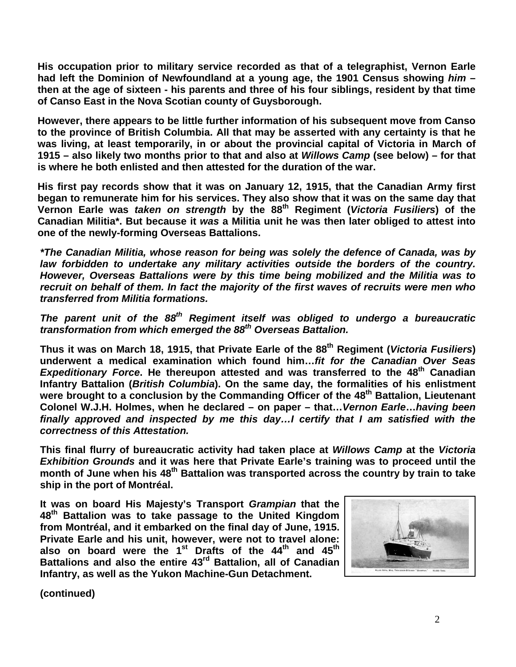**His occupation prior to military service recorded as that of a telegraphist, Vernon Earle had left the Dominion of Newfoundland at a young age, the 1901 Census showing** *him* **– then at the age of sixteen - his parents and three of his four siblings, resident by that time of Canso East in the Nova Scotian county of Guysborough.**

**However, there appears to be little further information of his subsequent move from Canso to the province of British Columbia. All that may be asserted with any certainty is that he was living, at least temporarily, in or about the provincial capital of Victoria in March of 1915 – also likely two months prior to that and also at** *Willows Camp* **(see below) – for that is where he both enlisted and then attested for the duration of the war.**

**His first pay records show that it was on January 12, 1915, that the Canadian Army first began to remunerate him for his services. They also show that it was on the same day that Vernon Earle was** *taken on strength* **by the 88th Regiment (***Victoria Fusiliers***) of the Canadian Militia\*. But because it** *was* **a Militia unit he was then later obliged to attest into one of the newly-forming Overseas Battalions.**

*\*The Canadian Militia, whose reason for being was solely the defence of Canada, was by law forbidden to undertake any military activities outside the borders of the country. However, Overseas Battalions were by this time being mobilized and the Militia was to recruit on behalf of them. In fact the majority of the first waves of recruits were men who transferred from Militia formations.*

*The parent unit of the 88th Regiment itself was obliged to undergo a bureaucratic transformation from which emerged the 88th Overseas Battalion.*

**Thus it was on March 18, 1915, that Private Earle of the 88th Regiment (***Victoria Fusiliers***) underwent a medical examination which found him…***fit for the Canadian Over Seas Expeditionary Force*. He thereupon attested and was transferred to the 48<sup>th</sup> Canadian **Infantry Battalion (***British Columbia***). On the same day, the formalities of his enlistment**  were brought to a conclusion by the Commanding Officer of the 48<sup>th</sup> Battalion, Lieutenant **Colonel W.J.H. Holmes, when he declared – on paper – that…***Vernon Earle***…***having been finally approved and inspected by me this day…I certify that I am satisfied with the correctness of this Attestation.*

**This final flurry of bureaucratic activity had taken place at** *Willows Camp* **at the** *Victoria Exhibition Grounds* **and it was here that Private Earle's training was to proceed until the month of June when his 48th Battalion was transported across the country by train to take ship in the port of Montréal.** 

**It was on board His Majesty's Transport** *Grampian* **that the 48th Battalion was to take passage to the United Kingdom from Montréal, and it embarked on the final day of June, 1915. Private Earle and his unit, however, were not to travel alone:**  also on board were the 1<sup>st</sup> Drafts of the 44<sup>th</sup> and 45<sup>th</sup> **Battalions and also the entire 43rd Battalion, all of Canadian Infantry, as well as the Yukon Machine-Gun Detachment.** 

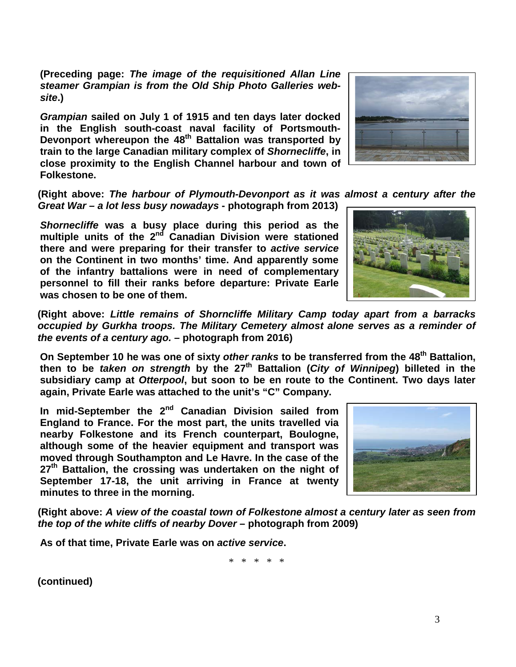**(Preceding page:** *The image of the requisitioned Allan Line steamer Grampian is from the Old Ship Photo Galleries website***.)**

*Grampian* **sailed on July 1 of 1915 and ten days later docked in the English south-coast naval facility of Portsmouth-Devonport whereupon the 48th Battalion was transported by train to the large Canadian military complex of** *Shornecliffe***, in close proximity to the English Channel harbour and town of Folkestone.** 



**(Right above:** *The harbour of Plymouth-Devonport as it was almost a century after the Great War – a lot less busy nowadays* **- photograph from 2013)**

*Shornecliffe* **was a busy place during this period as the multiple units of the 2nd Canadian Division were stationed there and were preparing for their transfer to** *active service* **on the Continent in two months' time. And apparently some of the infantry battalions were in need of complementary personnel to fill their ranks before departure: Private Earle was chosen to be one of them.**

**(Right above:** *Little remains of Shorncliffe Military Camp today apart from a barracks occupied by Gurkha troops. The Military Cemetery almost alone serves as a reminder of the events of a century ago.* **– photograph from 2016)**

**On September 10 he was one of sixty** *other ranks* **to be transferred from the 48th Battalion, then to be** *taken on strength* **by the 27th Battalion (***City of Winnipeg***) billeted in the subsidiary camp at** *Otterpool***, but soon to be en route to the Continent. Two days later again, Private Earle was attached to the unit's "C" Company.**

**In mid-September the 2nd Canadian Division sailed from England to France. For the most part, the units travelled via nearby Folkestone and its French counterpart, Boulogne, although some of the heavier equipment and transport was moved through Southampton and Le Havre. In the case of the 27th Battalion, the crossing was undertaken on the night of September 17-18, the unit arriving in France at twenty minutes to three in the morning.**



**(Right above:** *A view of the coastal town of Folkestone almost a century later as seen from the top of the white cliffs of nearby Dover* **– photograph from 2009)**

**As of that time, Private Earle was on** *active service***.** 

\* \* \* \* \*

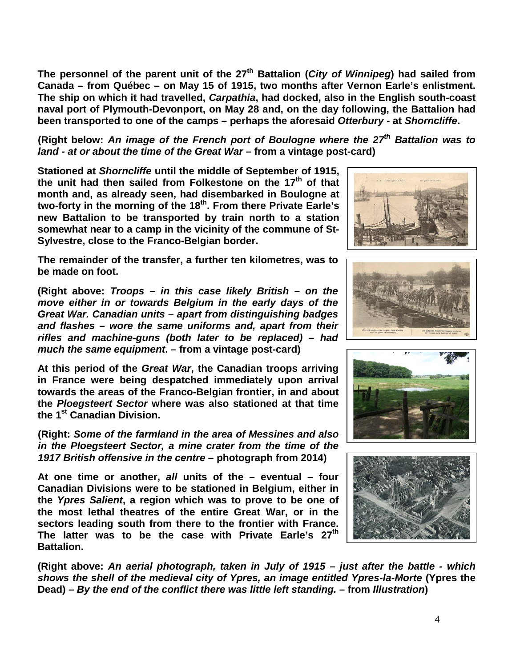**The personnel of the parent unit of the 27th Battalion (***City of Winnipeg***) had sailed from Canada – from Québec – on May 15 of 1915, two months after Vernon Earle's enlistment. The ship on which it had travelled,** *Carpathia***, had docked, also in the English south-coast naval port of Plymouth-Devonport, on May 28 and, on the day following, the Battalion had been transported to one of the camps – perhaps the aforesaid** *Otterbury* **- at** *Shorncliffe***.** 

**(Right below:** *An image of the French port of Boulogne where the 27th Battalion was to land - at or about the time of the Great War* **– from a vintage post-card)**

**Stationed at** *Shorncliffe* **until the middle of September of 1915, the unit had then sailed from Folkestone on the 17th of that month and, as already seen, had disembarked in Boulogne at two-forty in the morning of the 18th. From there Private Earle's new Battalion to be transported by train north to a station somewhat near to a camp in the vicinity of the commune of St-Sylvestre, close to the Franco-Belgian border.** 

**The remainder of the transfer, a further ten kilometres, was to be made on foot.**

**(Right above:** *Troops – in this case likely British – on the move either in or towards Belgium in the early days of the Great War. Canadian units – apart from distinguishing badges and flashes – wore the same uniforms and, apart from their rifles and machine-guns (both later to be replaced) – had much the same equipment***. – from a vintage post-card)**

**At this period of the** *Great War***, the Canadian troops arriving in France were being despatched immediately upon arrival towards the areas of the Franco-Belgian frontier, in and about the** *Ploegsteert Sector* **where was also stationed at that time the 1st Canadian Division.** 

**(Right:** *Some of the farmland in the area of Messines and also in the Ploegsteert Sector, a mine crater from the time of the 1917 British offensive in the centre* **– photograph from 2014)**

**At one time or another,** *all* **units of the – eventual – four Canadian Divisions were to be stationed in Belgium, either in the** *Ypres Salient***, a region which was to prove to be one of the most lethal theatres of the entire Great War, or in the sectors leading south from there to the frontier with France. The latter was to be the case with Private Earle's 27th Battalion.** 

**(Right above:** *An aerial photograph, taken in July of 1915 – just after the battle - which shows the shell of the medieval city of Ypres, an image entitled Ypres-la-Morte* **(Ypres the Dead)** *– By the end of the conflict there was little left standing. –* **from** *Illustration***)**







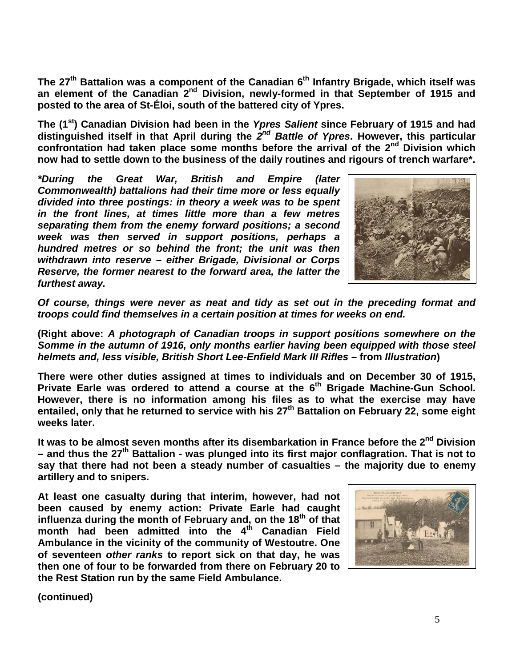The 27<sup>th</sup> Battalion was a component of the Canadian 6<sup>th</sup> Infantry Brigade, which itself was **an element of the Canadian 2nd Division, newly-formed in that September of 1915 and posted to the area of St-Éloi, south of the battered city of Ypres.**

**The (1st) Canadian Division had been in the** *Ypres Salient* **since February of 1915 and had distinguished itself in that April during the** *2nd Battle of Ypres***. However, this particular confrontation had taken place some months before the arrival of the 2nd Division which now had to settle down to the business of the daily routines and rigours of trench warfare\*.**

*\*During the Great War, British and Empire (later Commonwealth) battalions had their time more or less equally divided into three postings: in theory a week was to be spent in the front lines, at times little more than a few metres separating them from the enemy forward positions; a second week was then served in support positions, perhaps a hundred metres or so behind the front; the unit was then withdrawn into reserve – either Brigade, Divisional or Corps Reserve, the former nearest to the forward area, the latter the furthest away.* 



*Of course, things were never as neat and tidy as set out in the preceding format and troops could find themselves in a certain position at times for weeks on end.*

**(Right above:** *A photograph of Canadian troops in support positions somewhere on the Somme in the autumn of 1916, only months earlier having been equipped with those steel helmets and, less visible, British Short Lee-Enfield Mark III Rifles* **– from** *Illustration***)**

**There were other duties assigned at times to individuals and on December 30 of 1915,**  Private Earle was ordered to attend a course at the 6<sup>th</sup> Brigade Machine-Gun School. **However, there is no information among his files as to what the exercise may have entailed, only that he returned to service with his 27th Battalion on February 22, some eight weeks later.** 

It was to be almost seven months after its disembarkation in France before the 2<sup>nd</sup> Division **– and thus the 27th Battalion - was plunged into its first major conflagration. That is not to say that there had not been a steady number of casualties – the majority due to enemy artillery and to snipers.**

**At least one casualty during that interim, however, had not been caused by enemy action: Private Earle had caught**  influenza during the month of February and, on the 18<sup>th</sup> of that **month had been admitted into the 4th Canadian Field Ambulance in the vicinity of the community of Westoutre. One of seventeen** *other ranks* **to report sick on that day, he was then one of four to be forwarded from there on February 20 to the Rest Station run by the same Field Ambulance.**

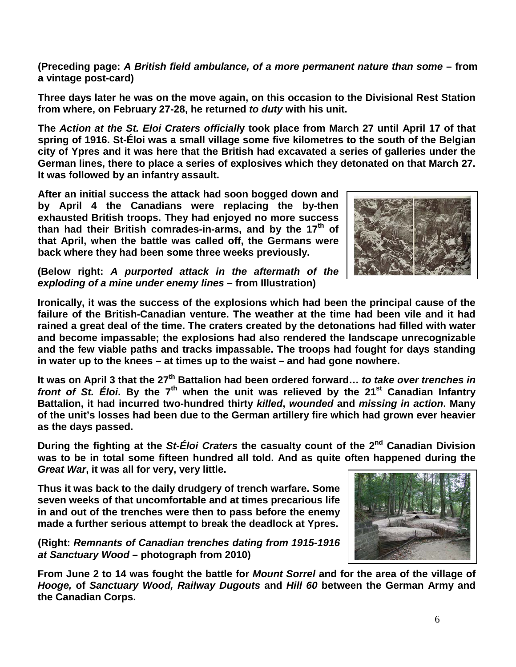**(Preceding page:** *A British field ambulance, of a more permanent nature than some* **– from a vintage post-card)**

**Three days later he was on the move again, on this occasion to the Divisional Rest Station from where, on February 27-28, he returned** *to duty* **with his unit.**

**The** *Action at the St. Eloi Craters officiall***y took place from March 27 until April 17 of that spring of 1916. St-Éloi was a small village some five kilometres to the south of the Belgian city of Ypres and it was here that the British had excavated a series of galleries under the German lines, there to place a series of explosives which they detonated on that March 27. It was followed by an infantry assault.**

**After an initial success the attack had soon bogged down and by April 4 the Canadians were replacing the by-then exhausted British troops. They had enjoyed no more success than had their British comrades-in-arms, and by the 17th of that April, when the battle was called off, the Germans were back where they had been some three weeks previously.**

**(Below right:** *A purported attack in the aftermath of the exploding of a mine under enemy lines* **– from Illustration)**

**Ironically, it was the success of the explosions which had been the principal cause of the failure of the British-Canadian venture. The weather at the time had been vile and it had rained a great deal of the time. The craters created by the detonations had filled with water and become impassable; the explosions had also rendered the landscape unrecognizable and the few viable paths and tracks impassable. The troops had fought for days standing in water up to the knees – at times up to the waist – and had gone nowhere.**

It was on April 3 that the 27<sup>th</sup> Battalion had been ordered forward... *to take over trenches in front of St. Éloi***. By the 7th when the unit was relieved by the 21st Canadian Infantry Battalion, it had incurred two-hundred thirty** *killed***,** *wounded* **and** *missing in action***. Many of the unit's losses had been due to the German artillery fire which had grown ever heavier as the days passed.** 

**During the fighting at the** *St-Éloi Craters* **the casualty count of the 2nd Canadian Division was to be in total some fifteen hundred all told. And as quite often happened during the**  *Great War***, it was all for very, very little.**

**Thus it was back to the daily drudgery of trench warfare. Some seven weeks of that uncomfortable and at times precarious life in and out of the trenches were then to pass before the enemy made a further serious attempt to break the deadlock at Ypres.** 

**(Right:** *Remnants of Canadian trenches dating from 1915-1916 at Sanctuary Wood* **– photograph from 2010)**

**From June 2 to 14 was fought the battle for** *Mount Sorrel* **and for the area of the village of**  *Hooge,* **of** *Sanctuary Wood, Railway Dugouts* **and** *Hill 60* **between the German Army and the Canadian Corps.** 



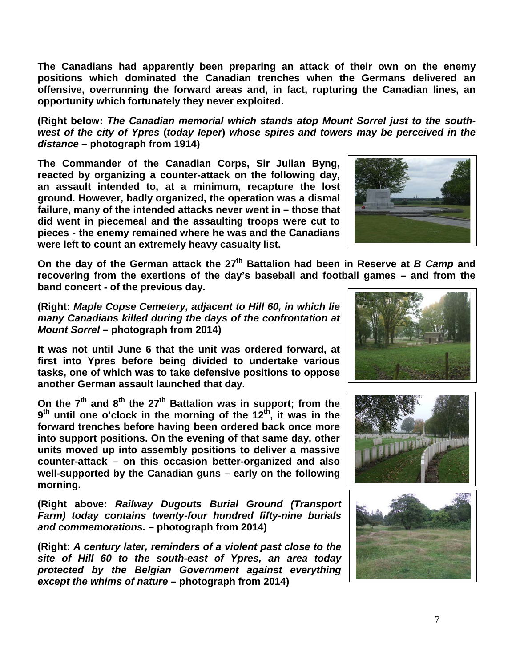**The Canadians had apparently been preparing an attack of their own on the enemy positions which dominated the Canadian trenches when the Germans delivered an offensive, overrunning the forward areas and, in fact, rupturing the Canadian lines, an opportunity which fortunately they never exploited.**

**(Right below:** *The Canadian memorial which stands atop Mount Sorrel just to the southwest of the city of Ypres* **(***today Ieper***)** *whose spires and towers may be perceived in the distance* **– photograph from 1914)**

**The Commander of the Canadian Corps, Sir Julian Byng, reacted by organizing a counter-attack on the following day, an assault intended to, at a minimum, recapture the lost ground. However, badly organized, the operation was a dismal failure, many of the intended attacks never went in – those that did went in piecemeal and the assaulting troops were cut to pieces - the enemy remained where he was and the Canadians were left to count an extremely heavy casualty list.**

**On the day of the German attack the 27th Battalion had been in Reserve at** *B Camp* **and recovering from the exertions of the day's baseball and football games – and from the band concert - of the previous day.** 

**(Right:** *Maple Copse Cemetery, adjacent to Hill 60, in which lie many Canadians killed during the days of the confrontation at Mount Sorrel* **– photograph from 2014)**

**It was not until June 6 that the unit was ordered forward, at first into Ypres before being divided to undertake various tasks, one of which was to take defensive positions to oppose another German assault launched that day.**

**On the 7th and 8th the 27th Battalion was in support; from the**  9<sup>th</sup> until one o'clock in the morning of the 12<sup>th</sup>, it was in the **forward trenches before having been ordered back once more into support positions. On the evening of that same day, other units moved up into assembly positions to deliver a massive counter-attack – on this occasion better-organized and also well-supported by the Canadian guns – early on the following morning.**

**(Right above:** *Railway Dugouts Burial Ground (Transport Farm) today contains twenty-four hundred fifty-nine burials and commemorations.* **– photograph from 2014)**

**(Right:** *A century later, reminders of a violent past close to the site of Hill 60 to the south-east of Ypres, an area today protected by the Belgian Government against everything except the whims of nature* **– photograph from 2014)**